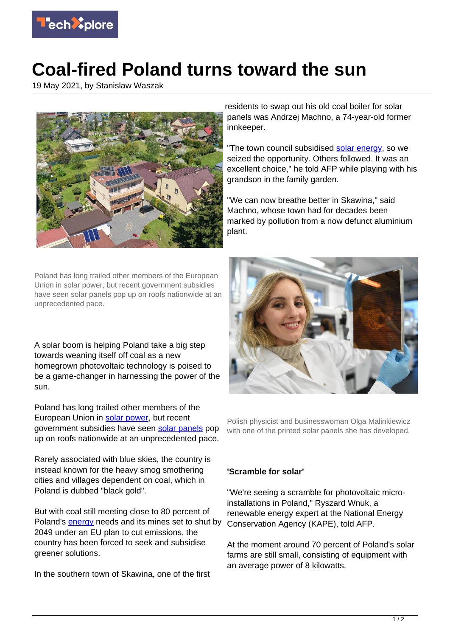

## **Coal-fired Poland turns toward the sun**

19 May 2021, by Stanislaw Waszak



Poland has long trailed other members of the European Union in solar power, but recent government subsidies have seen solar panels pop up on roofs nationwide at an unprecedented pace.

A solar boom is helping Poland take a big step towards weaning itself off coal as a new homegrown photovoltaic technology is poised to be a game-changer in harnessing the power of the sun.

Poland has long trailed other members of the European Union in [solar power](https://techxplore.com/tags/solar+power/), but recent government subsidies have seen [solar panels](https://techxplore.com/tags/solar+panels/) pop up on roofs nationwide at an unprecedented pace.

Rarely associated with blue skies, the country is instead known for the heavy smog smothering cities and villages dependent on coal, which in Poland is dubbed "black gold".

But with coal still meeting close to 80 percent of Poland's [energy](https://techxplore.com/tags/energy/) needs and its mines set to shut by 2049 under an EU plan to cut emissions, the country has been forced to seek and subsidise greener solutions.

In the southern town of Skawina, one of the first

residents to swap out his old coal boiler for solar panels was Andrzej Machno, a 74-year-old former innkeeper.

"The town council subsidised [solar energy,](https://techxplore.com/tags/solar+energy/) so we seized the opportunity. Others followed. It was an excellent choice," he told AFP while playing with his grandson in the family garden.

"We can now breathe better in Skawina," said Machno, whose town had for decades been marked by pollution from a now defunct aluminium plant.



Polish physicist and businesswoman Olga Malinkiewicz with one of the printed solar panels she has developed.

## **'Scramble for solar'**

"We're seeing a scramble for photovoltaic microinstallations in Poland," Ryszard Wnuk, a renewable energy expert at the National Energy Conservation Agency (KAPE), told AFP.

At the moment around 70 percent of Poland's solar farms are still small, consisting of equipment with an average power of 8 kilowatts.